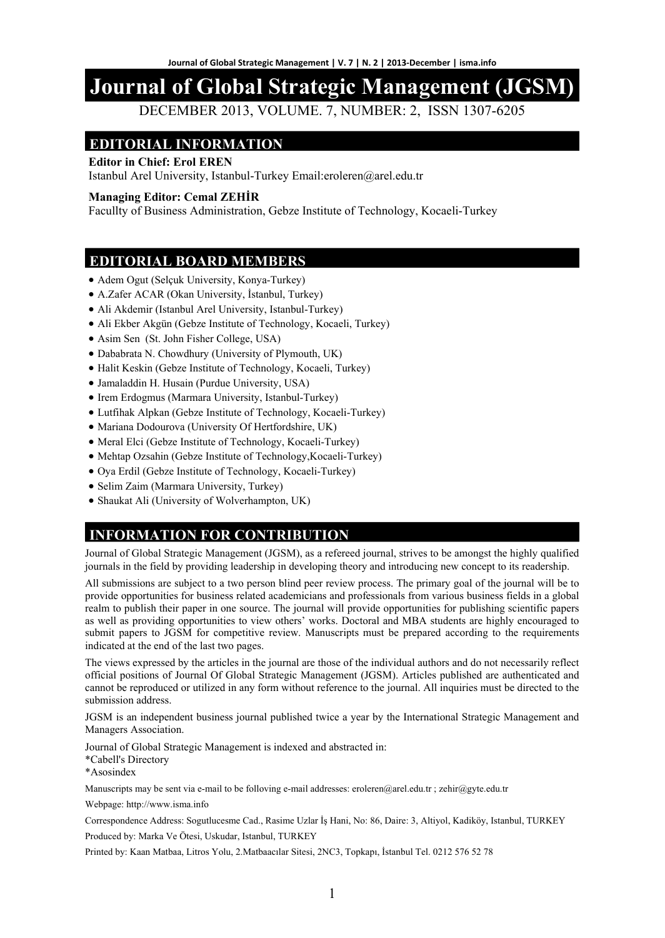# **Journal of Global Strategic Management (JGSM)**

DECEMBER 2013, VOLUME. 7, NUMBER: 2, ISSN 1307-6205

## **EDITORIAL INFORMATION**

#### **Editor in Chief: Erol EREN**

Istanbul Arel University, Istanbul-Turkey Email:eroleren@arel.edu.tr

#### **Managing Editor: Cemal ZEHİR**

Facullty of Business Administration, Gebze Institute of Technology, Kocaeli-Turkey

### **EDITORIAL BOARD MEMBERS**

- Adem Ogut (Selçuk University, Konya-Turkey)
- A.Zafer ACAR (Okan University, İstanbul, Turkey)
- Ali Akdemir (Istanbul Arel University, Istanbul-Turkey)
- Ali Ekber Akgün (Gebze Institute of Technology, Kocaeli, Turkey)
- Asim Sen (St. John Fisher College, USA)
- Dababrata N. Chowdhury (University of Plymouth, UK)
- Halit Keskin (Gebze Institute of Technology, Kocaeli, Turkey)
- Jamaladdin H. Husain (Purdue University, USA)
- Irem Erdogmus (Marmara University, Istanbul-Turkey)
- Lutfihak Alpkan (Gebze Institute of Technology, Kocaeli-Turkey)
- Mariana Dodourova (University Of Hertfordshire, UK)
- Meral Elci (Gebze Institute of Technology, Kocaeli-Turkey)
- Mehtap Ozsahin (Gebze Institute of Technology,Kocaeli-Turkey)
- Oya Erdil (Gebze Institute of Technology, Kocaeli-Turkey)
- Selim Zaim (Marmara University, Turkey)
- Shaukat Ali (University of Wolverhampton, UK)

## **INFORMATION FOR CONTRIBUTION**

Journal of Global Strategic Management (JGSM), as a refereed journal, strives to be amongst the highly qualified journals in the field by providing leadership in developing theory and introducing new concept to its readership.

All submissions are subject to a two person blind peer review process. The primary goal of the journal will be to provide opportunities for business related academicians and professionals from various business fields in a global realm to publish their paper in one source. The journal will provide opportunities for publishing scientific papers as well as providing opportunities to view others' works. Doctoral and MBA students are highly encouraged to submit papers to JGSM for competitive review. Manuscripts must be prepared according to the requirements indicated at the end of the last two pages.

The views expressed by the articles in the journal are those of the individual authors and do not necessarily reflect official positions of Journal Of Global Strategic Management (JGSM). Articles published are authenticated and cannot be reproduced or utilized in any form without reference to the journal. All inquiries must be directed to the submission address.

JGSM is an independent business journal published twice a year by the International Strategic Management and Managers Association.

Journal of Global Strategic Management is indexed and abstracted in:

\*Cabell's Directory

\*Asosindex

Manuscripts may be sent via e-mail to be folloving e-mail addresses: eroleren@arel.edu.tr ; zehir@gyte.edu.tr

Webpage: http://www.isma.info

Correspondence Address: Sogutlucesme Cad., Rasime Uzlar İş Hani, No: 86, Daire: 3, Altiyol, Kadiköy, Istanbul, TURKEY Produced by: Marka Ve Ötesi, Uskudar, Istanbul, TURKEY

Printed by: Kaan Matbaa, Litros Yolu, 2.Matbaacılar Sitesi, 2NC3, Topkapı, İstanbul Tel. 0212 576 52 78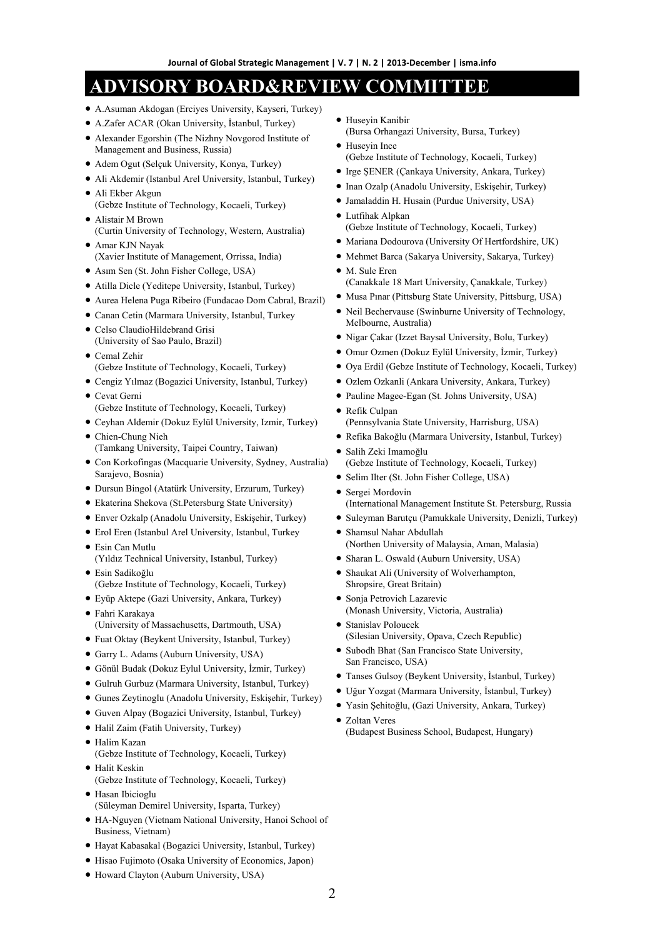# **ADVISORY BOARD&REVIEW COMMITTEE**

- A.Asuman Akdogan (Erciyes University, Kayseri, Turkey)
- A.Zafer ACAR (Okan University, İstanbul, Turkey)
- Alexander Egorshin (The Nizhny Novgorod Institute of Management and Business, Russia)
- Adem Ogut (Selçuk University, Konya, Turkey)
- Ali Akdemir (Istanbul Arel University, Istanbul, Turkey)
- Ali Ekber Akgun (Gebze Institute of Technology, Kocaeli, Turkey)
- Alistair M Brown (Curtin University of Technology, Western, Australia)
- Amar KJN Nayak (Xavier Institute of Management, Orrissa, India)
- Asım Sen (St. John Fisher College, USA)
- Atilla Dicle (Yeditepe University, Istanbul, Turkey)
- Aurea Helena Puga Ribeiro (Fundacao Dom Cabral, Brazil)
- Canan Cetin (Marmara University, Istanbul, Turkey
- Celso ClaudioHildebrand Grisi (University of Sao Paulo, Brazil)
- Cemal Zehir (Gebze Institute of Technology, Kocaeli, Turkey)
- Cengiz Yılmaz (Bogazici University, Istanbul, Turkey)
- Cevat Gerni (Gebze Institute of Technology, Kocaeli, Turkey)
- Ceyhan Aldemir (Dokuz Eylül University, Izmir, Turkey)
- Chien-Chung Nieh (Tamkang University, Taipei Country, Taiwan)
- Con Korkofingas (Macquarie University, Sydney, Australia) Sarajevo, Bosnia)
- Dursun Bingol (Atatürk University, Erzurum, Turkey)
- Ekaterina Shekova (St.Petersburg State University)
- Enver Ozkalp (Anadolu University, Eskişehir, Turkey)
- Erol Eren (Istanbul Arel University, Istanbul, Turkey
- Esin Can Mutlu (Yıldız Technical University, Istanbul, Turkey)
- Esin Sadikoğlu (Gebze Institute of Technology, Kocaeli, Turkey)
- Eyüp Aktepe (Gazi University, Ankara, Turkey)
- Fahri Karakaya (University of Massachusetts, Dartmouth, USA)
- Fuat Oktay (Beykent University, Istanbul, Turkey)
- Garry L. Adams (Auburn University, USA)
- Gönül Budak (Dokuz Eylul University, İzmir, Turkey)
- Gulruh Gurbuz (Marmara University, Istanbul, Turkey)
- Gunes Zeytinoglu (Anadolu University, Eskişehir, Turkey)
- Guven Alpay (Bogazici University, Istanbul, Turkey)
- Halil Zaim (Fatih University, Turkey)
- Halim Kazan (Gebze Institute of Technology, Kocaeli, Turkey) • Halit Keskin
- (Gebze Institute of Technology, Kocaeli, Turkey) • Hasan Ibicioglu
- (Süleyman Demirel University, Isparta, Turkey)
- HA-Nguyen (Vietnam National University, Hanoi School of Business, Vietnam)
- Hayat Kabasakal (Bogazici University, Istanbul, Turkey)
- Hisao Fujimoto (Osaka University of Economics, Japon)
- Howard Clayton (Auburn University, USA)
- Huseyin Kanibir (Bursa Orhangazi University, Bursa, Turkey)
- Huseyin Ince
- (Gebze Institute of Technology, Kocaeli, Turkey)
- Irge ŞENER (Çankaya University, Ankara, Turkey)
- Inan Ozalp (Anadolu University, Eskişehir, Turkey)
- Jamaladdin H. Husain (Purdue University, USA)
- Lutfihak Alpkan (Gebze Institute of Technology, Kocaeli, Turkey)
- Mariana Dodourova (University Of Hertfordshire, UK)
- Mehmet Barca (Sakarya University, Sakarya, Turkey)
- M. Sule Eren (Canakkale 18 Mart University, Çanakkale, Turkey)
- Musa Pınar (Pittsburg State University, Pittsburg, USA)
- Neil Bechervause (Swinburne University of Technology, Melbourne, Australia)
- Nigar Çakar (Izzet Baysal University, Bolu, Turkey)
- Omur Ozmen (Dokuz Eylül University, İzmir, Turkey)
- Oya Erdil (Gebze Institute of Technology, Kocaeli, Turkey)
- Ozlem Ozkanli (Ankara University, Ankara, Turkey)
- Pauline Magee-Egan (St. Johns University, USA)
- Refik Culpan (Pennsylvania State University, Harrisburg, USA)
- Refika Bakoğlu (Marmara University, Istanbul, Turkey)
- Salih Zeki Imamoğlu (Gebze Institute of Technology, Kocaeli, Turkey)
- Selim Ilter (St. John Fisher College, USA)
- Sergei Mordovin (International Management Institute St. Petersburg, Russia
- Suleyman Barutçu (Pamukkale University, Denizli, Turkey)
- Shamsul Nahar Abdullah (Northen University of Malaysia, Aman, Malasia)
- Sharan L. Oswald (Auburn University, USA)
- Shaukat Ali (University of Wolverhampton, Shropsire, Great Britain)
- Sonja Petrovich Lazarevic (Monash University, Victoria, Australia)
- Stanislav Poloucek (Silesian University, Opava, Czech Republic)
- Subodh Bhat (San Francisco State University, San Francisco, USA)
- Tanses Gulsoy (Beykent University, İstanbul, Turkey)
- Uğur Yozgat (Marmara University, İstanbul, Turkey)
- Yasin Şehitoğlu, (Gazi University, Ankara, Turkey)
- Zoltan Veres (Budapest Business School, Budapest, Hungary)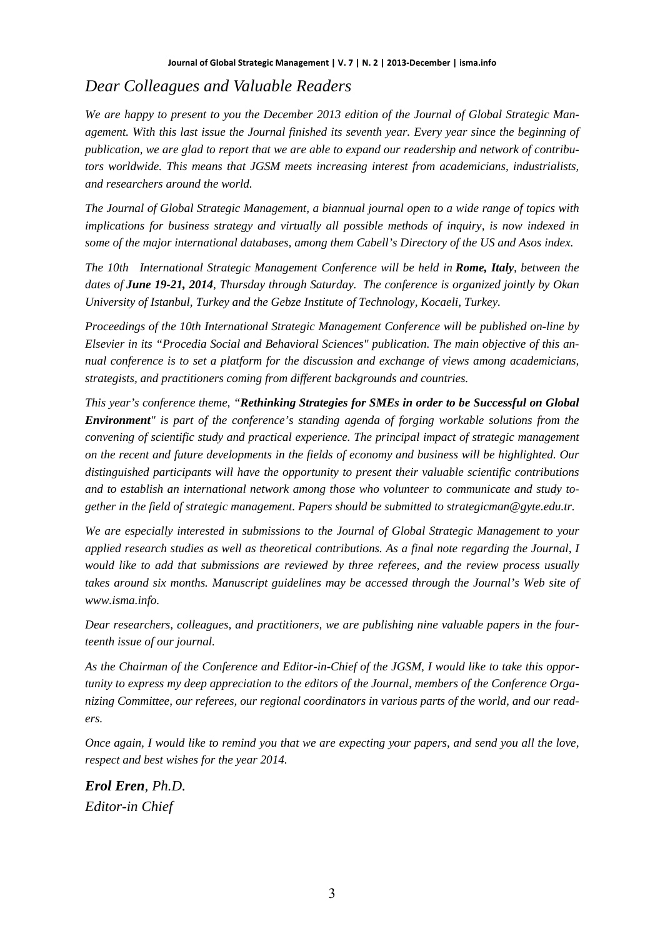# *Dear Colleagues and Valuable Readers*

*We are happy to present to you the December 2013 edition of the Journal of Global Strategic Management. With this last issue the Journal finished its seventh year. Every year since the beginning of publication, we are glad to report that we are able to expand our readership and network of contributors worldwide. This means that JGSM meets increasing interest from academicians, industrialists, and researchers around the world.* 

*The Journal of Global Strategic Management, a biannual journal open to a wide range of topics with implications for business strategy and virtually all possible methods of inquiry, is now indexed in some of the major international databases, among them Cabell's Directory of the US and Asos index.* 

*The 10th International Strategic Management Conference will be held in Rome, Italy, between the dates of June 19-21, 2014, Thursday through Saturday. The conference is organized jointly by Okan University of Istanbul, Turkey and the Gebze Institute of Technology, Kocaeli, Turkey.* 

*Proceedings of the 10th International Strategic Management Conference will be published on-line by Elsevier in its "Procedia Social and Behavioral Sciences" publication. The main objective of this annual conference is to set a platform for the discussion and exchange of views among academicians, strategists, and practitioners coming from different backgrounds and countries.* 

*This year's conference theme, "Rethinking Strategies for SMEs in order to be Successful on Global Environment" is part of the conference's standing agenda of forging workable solutions from the convening of scientific study and practical experience. The principal impact of strategic management on the recent and future developments in the fields of economy and business will be highlighted. Our distinguished participants will have the opportunity to present their valuable scientific contributions and to establish an international network among those who volunteer to communicate and study together in the field of strategic management. Papers should be submitted to strategicman@gyte.edu.tr.* 

*We are especially interested in submissions to the Journal of Global Strategic Management to your applied research studies as well as theoretical contributions. As a final note regarding the Journal, I would like to add that submissions are reviewed by three referees, and the review process usually takes around six months. Manuscript guidelines may be accessed through the Journal's Web site of www.isma.info.* 

*Dear researchers, colleagues, and practitioners, we are publishing nine valuable papers in the fourteenth issue of our journal.* 

*As the Chairman of the Conference and Editor-in-Chief of the JGSM, I would like to take this opportunity to express my deep appreciation to the editors of the Journal, members of the Conference Organizing Committee, our referees, our regional coordinators in various parts of the world, and our readers.* 

*Once again, I would like to remind you that we are expecting your papers, and send you all the love, respect and best wishes for the year 2014.*

*Erol Eren, Ph.D. Editor-in Chief*